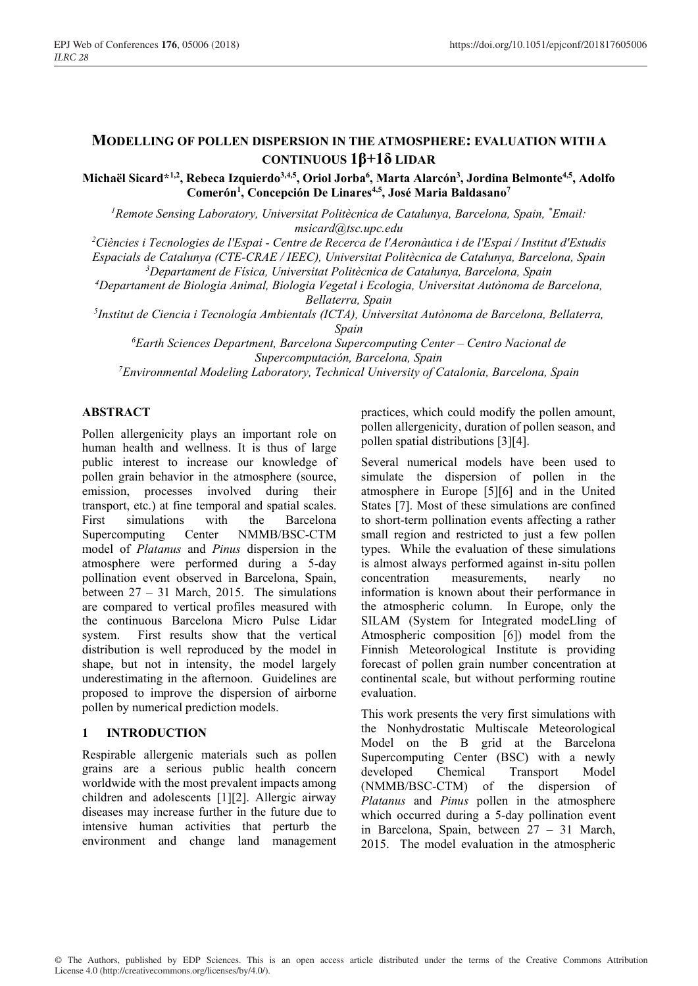# **MODELLING OF POLLEN DISPERSION IN THE ATMOSPHERE: EVALUATION WITH A CONTINUOUS 1β+1δ LIDAR**

**Michaël Sicard\*1,2, Rebeca Izquierdo3,4,5, Oriol Jorba6 , Marta Alarcón3 , Jordina Belmonte4,5, Adolfo**  Comerón<sup>1</sup>, Concepción De Linares<sup>4,5</sup>, José Maria Baldasano<sup>7</sup>

*1 Remote Sensing Laboratory, Universitat Politècnica de Catalunya, Barcelona, Spain, \* Email: msicard@tsc.upc.edu* 

*2 Ciències i Tecnologies de l'Espai - Centre de Recerca de l'Aeronàutica i de l'Espai / Institut d'Estudis* 

*Espacials de Catalunya (CTE-CRAE / IEEC), Universitat Politècnica de Catalunya, Barcelona, Spain* 

*3 Departament de Física, Universitat Politècnica de Catalunya, Barcelona, Spain* 

*4 Departament de Biologia Animal, Biologia Vegetal i Ecologia, Universitat Autònoma de Barcelona, Bellaterra, Spain* 

*5 Institut de Ciencia i Tecnología Ambientals (ICTA), Universitat Autònoma de Barcelona, Bellaterra, Spain* 

*6 Earth Sciences Department, Barcelona Supercomputing Center – Centro Nacional de Supercomputación, Barcelona, Spain* 

*7 Environmental Modeling Laboratory, Technical University of Catalonia, Barcelona, Spain* 

## **ABSTRACT**

Pollen allergenicity plays an important role on human health and wellness. It is thus of large public interest to increase our knowledge of pollen grain behavior in the atmosphere (source, emission, processes involved during their transport, etc.) at fine temporal and spatial scales.<br>First simulations with the Barcelona First simulations with the Barcelona Supercomputing Center NMMB/BSC-CTM model of *Platanus* and *Pinus* dispersion in the atmosphere were performed during a 5-day pollination event observed in Barcelona, Spain, between 27 – 31 March, 2015. The simulations are compared to vertical profiles measured with the continuous Barcelona Micro Pulse Lidar system. First results show that the vertical distribution is well reproduced by the model in shape, but not in intensity, the model largely underestimating in the afternoon. Guidelines are proposed to improve the dispersion of airborne pollen by numerical prediction models.

### **1 INTRODUCTION**

Respirable allergenic materials such as pollen grains are a serious public health concern worldwide with the most prevalent impacts among children and adolescents [1][2]. Allergic airway diseases may increase further in the future due to intensive human activities that perturb the environment and change land management practices, which could modify the pollen amount, pollen allergenicity, duration of pollen season, and pollen spatial distributions [3][4].

Several numerical models have been used to simulate the dispersion of pollen in the atmosphere in Europe [5][6] and in the United States [7]. Most of these simulations are confined to short-term pollination events affecting a rather small region and restricted to just a few pollen types. While the evaluation of these simulations is almost always performed against in-situ pollen concentration measurements, nearly no information is known about their performance in the atmospheric column. In Europe, only the SILAM (System for Integrated modeLling of Atmospheric composition [6]) model from the Finnish Meteorological Institute is providing forecast of pollen grain number concentration at continental scale, but without performing routine evaluation.

This work presents the very first simulations with the Nonhydrostatic Multiscale Meteorological Model on the B grid at the Barcelona Supercomputing Center (BSC) with a newly developed Chemical Transport Model (NMMB/BSC-CTM) of the dispersion of *Platanus* and *Pinus* pollen in the atmosphere which occurred during a 5-day pollination event in Barcelona, Spain, between 27 – 31 March, 2015. The model evaluation in the atmospheric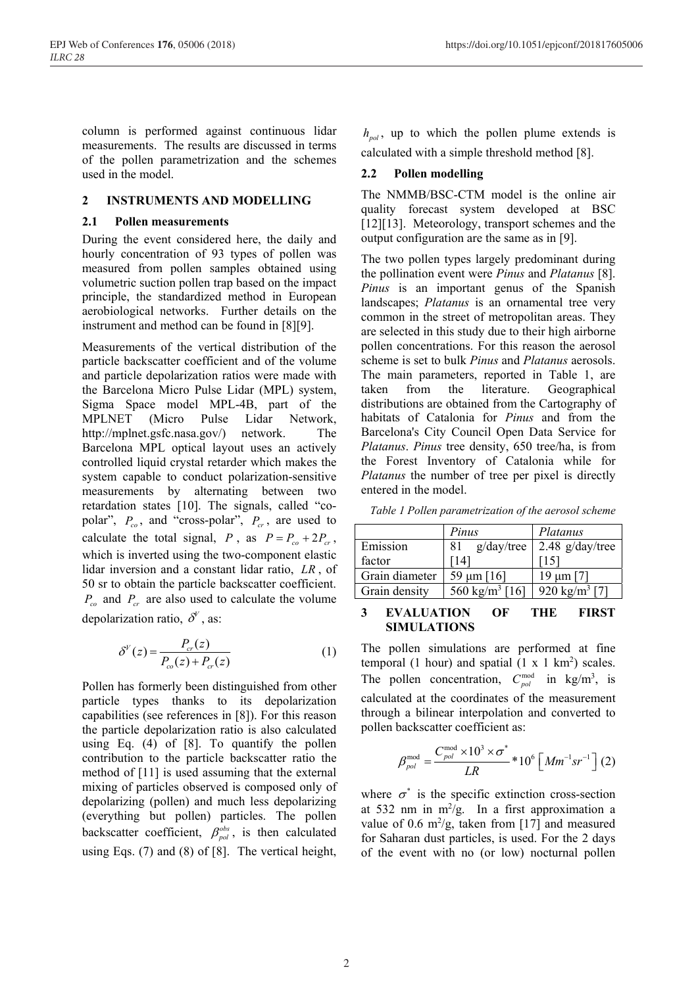column is performed against continuous lidar measurements. The results are discussed in terms of the pollen parametrization and the schemes used in the model.

### **2 INSTRUMENTS AND MODELLING**

#### **2.1 Pollen measurements**

During the event considered here, the daily and hourly concentration of 93 types of pollen was measured from pollen samples obtained using volumetric suction pollen trap based on the impact principle, the standardized method in European aerobiological networks. Further details on the instrument and method can be found in [8][9].

Measurements of the vertical distribution of the particle backscatter coefficient and of the volume and particle depolarization ratios were made with the Barcelona Micro Pulse Lidar (MPL) system, Sigma Space model MPL-4B, part of the MPLNET (Micro Pulse Lidar Network, http://mplnet.gsfc.nasa.gov/) network. The Barcelona MPL optical layout uses an actively controlled liquid crystal retarder which makes the system capable to conduct polarization-sensitive measurements by alternating between two retardation states [10]. The signals, called "copolar",  $P_{co}$ , and "cross-polar",  $P_{cr}$ , are used to calculate the total signal, *P*, as  $P = P_{co} + 2P_{cr}$ , which is inverted using the two-component elastic lidar inversion and a constant lidar ratio, *LR* , of 50 sr to obtain the particle backscatter coefficient.  $P_{co}$  and  $P_{cr}$  are also used to calculate the volume depolarization ratio,  $\delta^V$ , as:

$$
\delta^V(z) = \frac{P_{cr}(z)}{P_{co}(z) + P_{cr}(z)}\tag{1}
$$

Pollen has formerly been distinguished from other particle types thanks to its depolarization capabilities (see references in [8]). For this reason the particle depolarization ratio is also calculated using Eq. (4) of [8]. To quantify the pollen contribution to the particle backscatter ratio the method of [11] is used assuming that the external mixing of particles observed is composed only of depolarizing (pollen) and much less depolarizing (everything but pollen) particles. The pollen backscatter coefficient,  $\beta_{pol}^{obs}$ , is then calculated using Eqs. (7) and (8) of [8]. The vertical height,

 $h_{pol}$ , up to which the pollen plume extends is calculated with a simple threshold method [8].

### **2.2 Pollen modelling**

The NMMB/BSC-CTM model is the online air quality forecast system developed at BSC [12][13]. Meteorology, transport schemes and the output configuration are the same as in [9].

The two pollen types largely predominant during the pollination event were *Pinus* and *Platanus* [8]. *Pinus* is an important genus of the Spanish landscapes; *Platanus* is an ornamental tree very common in the street of metropolitan areas. They are selected in this study due to their high airborne pollen concentrations. For this reason the aerosol scheme is set to bulk *Pinus* and *Platanus* aerosols. The main parameters, reported in Table 1, are taken from the literature. Geographical distributions are obtained from the Cartography of habitats of Catalonia for *Pinus* and from the Barcelona's City Council Open Data Service for *Platanus*. *Pinus* tree density, 650 tree/ha, is from the Forest Inventory of Catalonia while for *Platanus* the number of tree per pixel is directly entered in the model.

*Table 1 Pollen parametrization of the aerosol scheme* 

|                | Pinus                      | Platanus                  |
|----------------|----------------------------|---------------------------|
| Emission       | g/day/tree<br>81           | $2.48$ g/day/tree         |
| factor         | 141                        |                           |
| Grain diameter | 59 $\mu$ m [16]            | 19 $\mu$ m [7]            |
| Grain density  | 560 kg/m <sup>3</sup> [16] | 920 kg/m <sup>3</sup> [7] |

#### **3 EVALUATION OF THE FIRST SIMULATIONS**

The pollen simulations are performed at fine temporal (1 hour) and spatial  $(1 \times 1 \text{ km}^2)$  scales. The pollen concentration,  $C_{pol}^{mod}$  in kg/m<sup>3</sup>, is calculated at the coordinates of the measurement through a bilinear interpolation and converted to pollen backscatter coefficient as:

$$
\beta_{pol}^{\text{mod}} = \frac{C_{pol}^{\text{mod}} \times 10^3 \times \sigma^*}{LR} * 10^6 \left[ M m^{-1} s r^{-1} \right] (2)
$$

where  $\sigma^*$  is the specific extinction cross-section at 532 nm in  $m^2/g$ . In a first approximation a value of 0.6  $\mathrm{m}^2/\mathrm{g}$ , taken from [17] and measured for Saharan dust particles, is used. For the 2 days of the event with no (or low) nocturnal pollen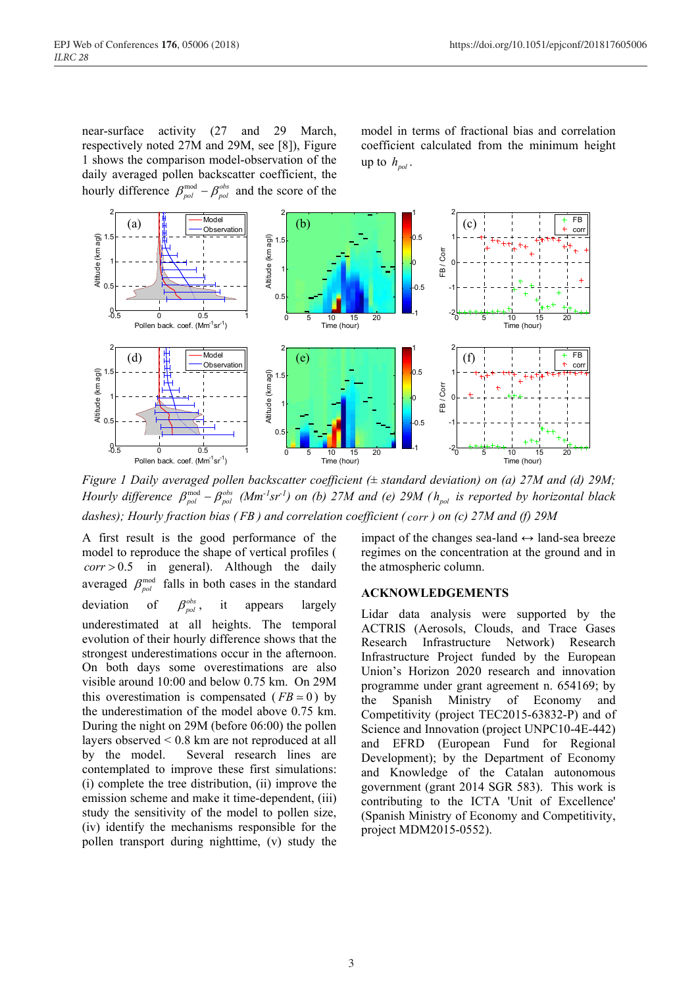near-surface activity (27 and 29 March, respectively noted 27M and 29M, see [8]), Figure 1 shows the comparison model-observation of the daily averaged pollen backscatter coefficient, the hourly difference  $\beta_{pol}^{\text{mod}} - \beta_{pol}^{\text{obs}}$  and the score of the

model in terms of fractional bias and correlation coefficient calculated from the minimum height up to  $h_{\text{no}l}$ .



*Figure 1 Daily averaged pollen backscatter coefficient (± standard deviation) on (a) 27M and (d) 29M; Hourly difference*  $\beta_{pol}^{mod}$   $-\beta_{pol}^{obs}$  (*Mm<sup>-1</sup>sr<sup>-1</sup>) on (b)* 27*M* and (e) 29*M* ( $h_{pol}$  is reported by horizontal black *dashes); Hourly fraction bias ( FB ) and correlation coefficient ( corr ) on (c) 27M and (f) 29M*

A first result is the good performance of the model to reproduce the shape of vertical profiles (  $corr > 0.5$  in general). Although the daily averaged  $\beta_{pol}^{\text{mod}}$  falls in both cases in the standard deviation of  $\beta_{pol}^{obs}$ , it appears largely underestimated at all heights. The temporal evolution of their hourly difference shows that the strongest underestimations occur in the afternoon. On both days some overestimations are also visible around 10:00 and below 0.75 km. On 29M this overestimation is compensated ( $FB \approx 0$ ) by the underestimation of the model above 0.75 km. During the night on 29M (before 06:00) the pollen layers observed < 0.8 km are not reproduced at all by the model. Several research lines are contemplated to improve these first simulations: (i) complete the tree distribution, (ii) improve the emission scheme and make it time-dependent, (iii) study the sensitivity of the model to pollen size, (iv) identify the mechanisms responsible for the pollen transport during nighttime, (v) study the

impact of the changes sea-land  $\leftrightarrow$  land-sea breeze regimes on the concentration at the ground and in the atmospheric column.

#### **ACKNOWLEDGEMENTS**

Lidar data analysis were supported by the ACTRIS (Aerosols, Clouds, and Trace Gases Research Infrastructure Network) Research Infrastructure Project funded by the European Union's Horizon 2020 research and innovation programme under grant agreement n. 654169; by the Spanish Ministry of Economy and Competitivity (project TEC2015-63832-P) and of Science and Innovation (project UNPC10-4E-442) and EFRD (European Fund for Regional Development); by the Department of Economy and Knowledge of the Catalan autonomous government (grant 2014 SGR 583). This work is contributing to the ICTA 'Unit of Excellence' (Spanish Ministry of Economy and Competitivity, project MDM2015-0552).